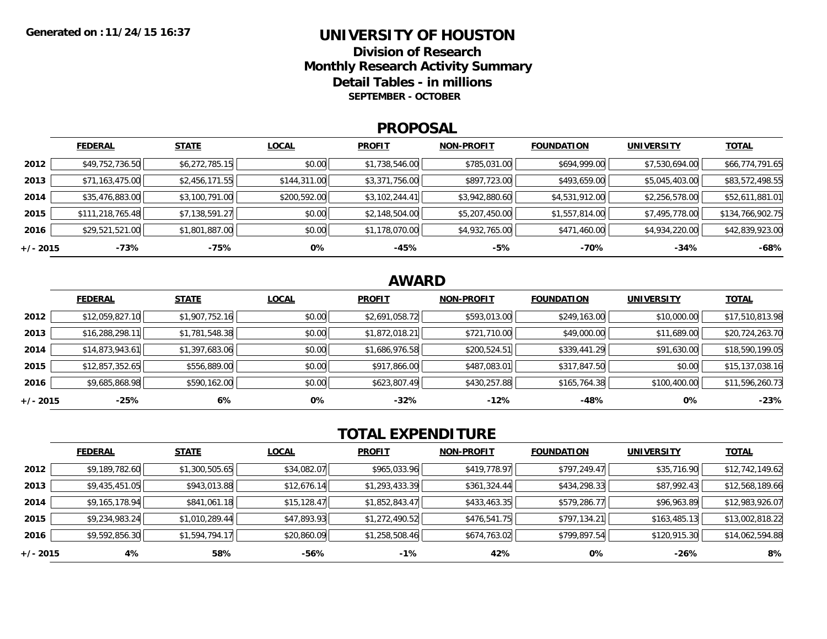### **UNIVERSITY OF HOUSTON**

**Division of ResearchMonthly Research Activity Summary Detail Tables - in millions SEPTEMBER - OCTOBER**

#### **PROPOSAL**

|            | <b>FEDERAL</b>   | <b>STATE</b>   | <b>LOCAL</b> | <b>PROFIT</b>  | <b>NON-PROFIT</b> | <b>FOUNDATION</b> | <b>UNIVERSITY</b> | <u>TOTAL</u>     |
|------------|------------------|----------------|--------------|----------------|-------------------|-------------------|-------------------|------------------|
| 2012       | \$49,752,736.50  | \$6,272,785.15 | \$0.00       | \$1,738,546.00 | \$785,031.00      | \$694,999.00      | \$7,530,694.00    | \$66,774,791.65  |
| 2013       | \$71,163,475.00  | \$2,456,171.55 | \$144,311.00 | \$3,371,756.00 | \$897,723.00      | \$493,659.00      | \$5,045,403.00    | \$83,572,498.55  |
| 2014       | \$35,476,883.00  | \$3,100,791.00 | \$200,592.00 | \$3,102,244.41 | \$3,942,880.60    | \$4,531,912.00    | \$2,256,578.00    | \$52,611,881.01  |
| 2015       | \$111,218,765.48 | \$7,138,591.27 | \$0.00       | \$2,148,504.00 | \$5,207,450.00    | \$1,557,814.00    | \$7,495,778.00    | \$134,766,902.75 |
| 2016       | \$29,521,521.00  | \$1,801,887.00 | \$0.00       | \$1,178,070.00 | \$4,932,765.00    | \$471,460.00      | \$4,934,220.00    | \$42,839,923.00  |
| $+/- 2015$ | -73%             | -75%           | 0%           | $-45%$         | -5%               | $-70%$            | $-34%$            | $-68%$           |

## **AWARD**

|          | <b>FEDERAL</b>  | <b>STATE</b>   | <b>LOCAL</b> | <b>PROFIT</b>  | <b>NON-PROFIT</b> | <b>FOUNDATION</b> | <b>UNIVERSITY</b> | <b>TOTAL</b>    |
|----------|-----------------|----------------|--------------|----------------|-------------------|-------------------|-------------------|-----------------|
| 2012     | \$12,059,827.10 | \$1,907,752.16 | \$0.00       | \$2,691,058.72 | \$593,013.00      | \$249,163.00      | \$10,000.00       | \$17,510,813.98 |
| 2013     | \$16,288,298.11 | \$1,781,548.38 | \$0.00       | \$1,872,018.21 | \$721,710.00      | \$49,000.00       | \$11,689.00       | \$20,724,263.70 |
| 2014     | \$14,873,943.61 | \$1,397,683.06 | \$0.00       | \$1,686,976.58 | \$200,524.51      | \$339,441.29      | \$91,630.00       | \$18,590,199.05 |
| 2015     | \$12,857,352.65 | \$556,889.00   | \$0.00       | \$917,866.00   | \$487,083.01      | \$317,847.50      | \$0.00            | \$15,137,038.16 |
| 2016     | \$9,685,868.98  | \$590,162.00   | \$0.00       | \$623,807.49   | \$430,257.88      | \$165,764.38      | \$100,400.00      | \$11,596,260.73 |
| +/- 2015 | $-25%$          | 6%             | 0%           | $-32\%$        | $-12%$            | $-48%$            | 0%                | $-23%$          |

# **TOTAL EXPENDITURE**

|          | <b>FEDERAL</b> | <b>STATE</b>   | <b>LOCAL</b> | <b>PROFIT</b>  | <b>NON-PROFIT</b> | <b>FOUNDATION</b> | <b>UNIVERSITY</b> | <u>TOTAL</u>    |
|----------|----------------|----------------|--------------|----------------|-------------------|-------------------|-------------------|-----------------|
| 2012     | \$9,189,782.60 | \$1,300,505.65 | \$34,082.07  | \$965,033.96   | \$419,778.97      | \$797,249.47      | \$35,716.90       | \$12,742,149.62 |
| 2013     | \$9,435,451.05 | \$943,013.88   | \$12,676.14  | \$1,293,433.39 | \$361,324.44      | \$434,298.33      | \$87,992.43       | \$12,568,189.66 |
| 2014     | \$9,165,178.94 | \$841,061.18   | \$15,128.47  | \$1,852,843.47 | \$433,463.35      | \$579,286.77      | \$96,963.89       | \$12,983,926.07 |
| 2015     | \$9,234,983.24 | \$1,010,289.44 | \$47,893.93  | \$1,272,490.52 | \$476,541.75      | \$797,134.21      | \$163,485.13      | \$13,002,818.22 |
| 2016     | \$9,592,856.30 | \$1,594,794.17 | \$20,860.09  | \$1,258,508.46 | \$674,763.02      | \$799,897.54      | \$120,915.30      | \$14,062,594.88 |
| +/- 2015 | 4%             | 58%            | -56%         | $-1\%$         | 42%               | 0%                | -26%              | 8%              |